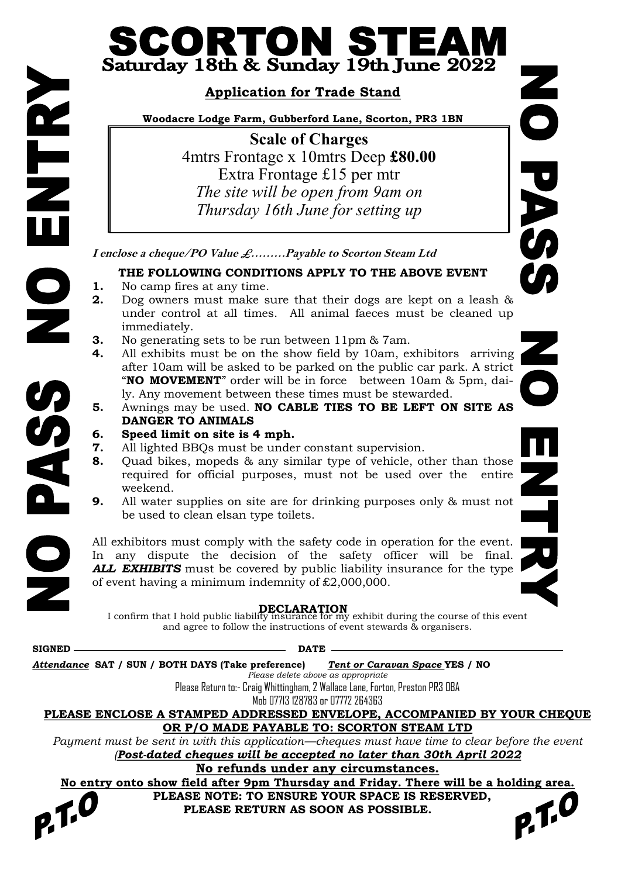## CORTON ST ▆ Saturday 18th & Sunday 19th June 2022

## **Application for Trade Stand**

**Woodacre Lodge Farm, Gubberford Lane, Scorton, PR3 1BN**

**Scale of Charges** 4mtrs Frontage x 10mtrs Deep **£80.00** Extra Frontage £15 per mtr *The site will be open from 9am on Thursday 16th June for setting up*

**I enclose a cheque/PO Value £………Payable to Scorton Steam Ltd**

## **THE FOLLOWING CONDITIONS APPLY TO THE ABOVE EVENT**

- **1.** No camp fires at any time.
- **2.** Dog owners must make sure that their dogs are kept on a leash & under control at all times. All animal faeces must be cleaned up immediately.
- **3.** No generating sets to be run between 11pm & 7am.
- **4.** All exhibits must be on the show field by 10am, exhibitors arriving after 10am will be asked to be parked on the public car park. A strict "**NO MOVEMENT**" order will be in force between 10am & 5pm, daily. Any movement between these times must be stewarded.
- **5.** Awnings may be used. **NO CABLE TIES TO BE LEFT ON SITE AS DANGER TO ANIMALS**
- **6. Speed limit on site is 4 mph.**
- **7.** All lighted BBQs must be under constant supervision.
- **8.** Quad bikes, mopeds & any similar type of vehicle, other than those required for official purposes, must not be used over the entire weekend.
- **9.** All water supplies on site are for drinking purposes only & must not be used to clean elsan type toilets.

All exhibitors must comply with the safety code in operation for the event. In any dispute the decision of the safety officer will be final. *ALL EXHIBITS* must be covered by public liability insurance for the type of event having a minimum indemnity of £2,000,000.

**DECLARATION** I confirm that I hold public liability insurance for my exhibit during the course of this event and agree to follow the instructions of event stewards & organisers.

| <b>SIGNED</b>                                                                 |  |  | <b>DATE</b> |  |  |  |                                                                                                |  |
|-------------------------------------------------------------------------------|--|--|-------------|--|--|--|------------------------------------------------------------------------------------------------|--|
| Attendance SAT / SUN / BOTH DAYS (Take preference)                            |  |  |             |  |  |  | Tent o <u>r Caravan Space Y</u> ES / NO                                                        |  |
|                                                                               |  |  |             |  |  |  | Please delete above as appropriate                                                             |  |
| Please Return to:- Craig Whittingham, 2 Wallace Lane, Forton, Preston PR3 OBA |  |  |             |  |  |  |                                                                                                |  |
|                                                                               |  |  |             |  |  |  | Mob 07713 128783 or 07772 264363                                                               |  |
|                                                                               |  |  |             |  |  |  | PLEASE ENCLOSE A STAMPED ADDRESSED ENVELOPE, ACCOMPANIED BY YOUR CHEQUE                        |  |
|                                                                               |  |  |             |  |  |  | OR P/O MADE PAYABLE TO: SCORTON STEAM LTD                                                      |  |
|                                                                               |  |  |             |  |  |  | Payment must be sent in with this application—cheques must have time to clear before the event |  |
|                                                                               |  |  |             |  |  |  | Post-dated cheques will be accepted no later than 30th April 2022                              |  |
|                                                                               |  |  |             |  |  |  | No refunds under any circumstances.                                                            |  |
|                                                                               |  |  |             |  |  |  | No entry onto show field after 9pm Thursday and Friday. There will be a holding area.          |  |
|                                                                               |  |  |             |  |  |  | PLEASE NOTE: TO ENSURE YOUR SPACE IS RESERVED,                                                 |  |
| 27.0                                                                          |  |  |             |  |  |  | PLEASE RETURN AS SOON AS POSSIBLE.                                                             |  |
|                                                                               |  |  |             |  |  |  |                                                                                                |  |
|                                                                               |  |  |             |  |  |  |                                                                                                |  |